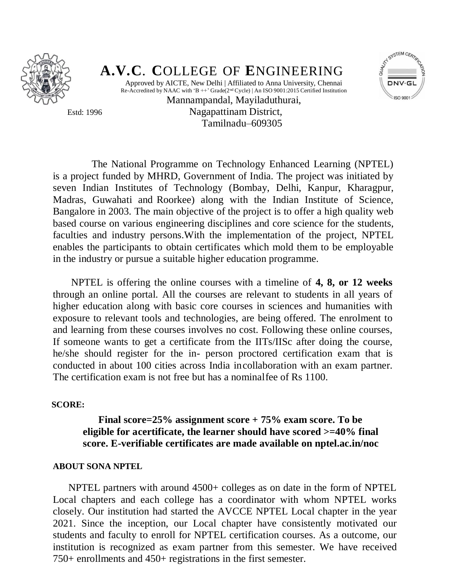

# **A.V.C**. **C**OLLEGE OF **E**NGINEERING Approved by AICTE, New Delhi | Affiliated to Anna University, Chennai



Re-Accredited by NAAC with 'B  $++$ ' Grade( $2<sup>nd</sup>$  Cycle) | An ISO 9001:2015 Certified Institution Mannampandal, Mayiladuthurai, Estd: 1996 Nagapattinam District, Tamilnadu–609305

 The National Programme on Technology Enhanced Learning (NPTEL) is a project funded by MHRD, Government of India. The project was initiated by seven Indian Institutes of Technology (Bombay, Delhi, Kanpur, Kharagpur, Madras, Guwahati and Roorkee) along with the Indian Institute of Science, Bangalore in 2003. The main objective of the project is to offer a high quality web based course on various engineering disciplines and core science for the students, faculties and industry persons.With the implementation of the project, NPTEL enables the participants to obtain certificates which mold them to be employable in the industry or pursue a suitable higher education programme.

 NPTEL is offering the online courses with a timeline of **4, 8, or 12 weeks**  through an online portal. All the courses are relevant to students in all years of higher education along with basic core courses in sciences and humanities with exposure to relevant tools and technologies, are being offered. The enrolment to and learning from these courses involves no cost. Following these online courses, If someone wants to get a certificate from the IITs/IISc after doing the course, he/she should register for the in- person proctored certification exam that is conducted in about 100 cities across India incollaboration with an exam partner. The certification exam is not free but has a nominalfee of Rs 1100.

#### **SCORE:**

## **Final score=25% assignment score + 75% exam score. To be eligible for acertificate, the learner should have scored >=40% final score. E-verifiable certificates are made available on nptel.ac.in/noc**

#### **ABOUT SONA NPTEL**

 NPTEL partners with around 4500+ colleges as on date in the form of NPTEL Local chapters and each college has a coordinator with whom NPTEL works closely. Our institution had started the AVCCE NPTEL Local chapter in the year 2021. Since the inception, our Local chapter have consistently motivated our students and faculty to enroll for NPTEL certification courses. As a outcome, our institution is recognized as exam partner from this semester. We have received 750+ enrollments and 450+ registrations in the first semester.